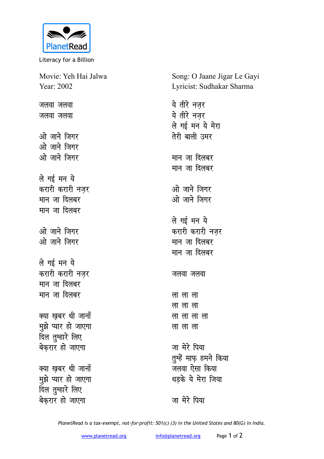

Literacy for a Billion

Movie: Yeh Hai Jalwa Year: 2002

जलवा जलवा जलवा जलवा

ओ जाने जिगर <u>ओ जाने जिगर</u> ओ जाने जिगर

ले गई मन ये करारी करारी नजर **मान** जा दिलबर **मान** जा दिलबर

<u>ओ जाने जिगर</u> ओ जाने जिगर

ले गई मन ये करारी करारी नजर **मान** जा दिलबर **मान** जा दिलबर

क्या खबर थी जानाँ **मुझे प्यार हो जाएगा** दिल तुम्हारे लिए बेकरार हो जाएगा

क्या खबर थी जानाँ <u>म</u>ूझे प्यार हो जाएगा <u>दिल तु</u>म्हारे लिए बेकरार हो जाएगा

Song: O Jaane Jigar Le Gayi Lyricist: Sudhakar Sharma

ये तीरे नजर ये तीरे नजर ले गई मन ये मेरा तेरी बाली उमर मान जा दिलबर **मान** जा दिलबर <u>ओ जाने जिगर</u> <u>ओ जाने जिगर</u> ले गई मन ये करारी करारी नजर **मान** जा दिलबर मान जा दिलबर जलवा जलवा <u>लालाला</u> **yk yk yk** <u>ला</u>लालाला **ला** ला ला जा मेरे पिया **तुम्हें माफ़ हमने किया** जलवा ऐसा किया धडके ये मेरा जिया

जा मेरे पिया

*PlanetRead is a tax-exempt, not-for-profit: 501(c) (3) in the United States and 80(G) in India.*